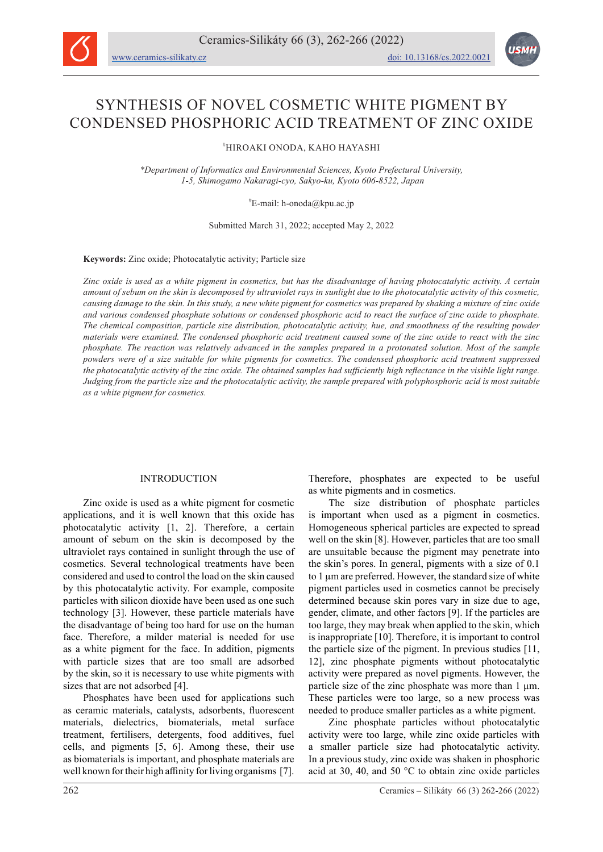



# SYNTHESIS OF NOVEL COSMETIC WHITE PIGMENT BY CONDENSED PHOSPHORIC ACID TREATMENT OF ZINC OXIDE

# HIROAKI ONODA, KAHO HAYASHI

*\*Department of Informatics and Environmental Sciences, Kyoto Prefectural University, 1-5, Shimogamo Nakaragi-cyo, Sakyo-ku, Kyoto 606-8522, Japan*

# E-mail: h-onoda@kpu.ac.jp

Submitted March 31, 2022; accepted May 2, 2022

**Keywords:** Zinc oxide; Photocatalytic activity; Particle size

*Zinc oxide is used as a white pigment in cosmetics, but has the disadvantage of having photocatalytic activity. A certain amount of sebum on the skin is decomposed by ultraviolet rays in sunlight due to the photocatalytic activity of this cosmetic, causing damage to the skin. In this study, a new white pigment for cosmetics was prepared by shaking a mixture of zinc oxide and various condensed phosphate solutions or condensed phosphoric acid to react the surface of zinc oxide to phosphate. The chemical composition, particle size distribution, photocatalytic activity, hue, and smoothness of the resulting powder materials were examined. The condensed phosphoric acid treatment caused some of the zinc oxide to react with the zinc phosphate. The reaction was relatively advanced in the samples prepared in a protonated solution. Most of the sample powders were of a size suitable for white pigments for cosmetics. The condensed phosphoric acid treatment suppressed the photocatalytic activity of the zinc oxide. The obtained samples had sufficiently high reflectance in the visible light range. Judging from the particle size and the photocatalytic activity, the sample prepared with polyphosphoric acid is most suitable as a white pigment for cosmetics.*

# INTRODUCTION

Zinc oxide is used as a white pigment for cosmetic applications, and it is well known that this oxide has photocatalytic activity [1, 2]. Therefore, a certain amount of sebum on the skin is decomposed by the ultraviolet rays contained in sunlight through the use of cosmetics. Several technological treatments have been considered and used to control the load on the skin caused by this photocatalytic activity. For example, composite particles with silicon dioxide have been used as one such technology [3]. However, these particle materials have the disadvantage of being too hard for use on the human face. Therefore, a milder material is needed for use as a white pigment for the face. In addition, pigments with particle sizes that are too small are adsorbed by the skin, so it is necessary to use white pigments with sizes that are not adsorbed [4].

Phosphates have been used for applications such as ceramic materials, catalysts, adsorbents, fluorescent materials, dielectrics, biomaterials, metal surface treatment, fertilisers, detergents, food additives, fuel cells, and pigments [5, 6]. Among these, their use as biomaterials is important, and phosphate materials are well known for their high affinity for living organisms [7].

Therefore, phosphates are expected to be useful as white pigments and in cosmetics.

The size distribution of phosphate particles is important when used as a pigment in cosmetics. Homogeneous spherical particles are expected to spread well on the skin [8]. However, particles that are too small are unsuitable because the pigment may penetrate into the skin's pores. In general, pigments with a size of 0.1 to 1 µm are preferred. However, the standard size of white pigment particles used in cosmetics cannot be precisely determined because skin pores vary in size due to age, gender, climate, and other factors [9]. If the particles are too large, they may break when applied to the skin, which is inappropriate [10]. Therefore, it is important to control the particle size of the pigment. In previous studies [11, 12], zinc phosphate pigments without photocatalytic activity were prepared as novel pigments. However, the particle size of the zinc phosphate was more than 1  $\mu$ m. These particles were too large, so a new process was needed to produce smaller particles as a white pigment.

Zinc phosphate particles without photocatalytic activity were too large, while zinc oxide particles with a smaller particle size had photocatalytic activity. In a previous study, zinc oxide was shaken in phosphoric acid at 30, 40, and 50 °C to obtain zinc oxide particles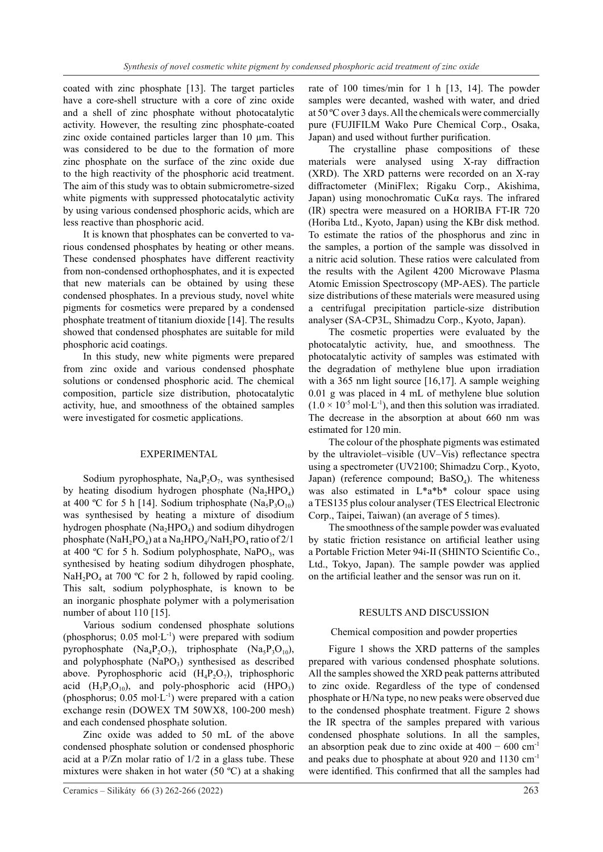coated with zinc phosphate [13]. The target particles have a core-shell structure with a core of zinc oxide and a shell of zinc phosphate without photocatalytic activity. However, the resulting zinc phosphate-coated zinc oxide contained particles larger than 10 µm. This was considered to be due to the formation of more zinc phosphate on the surface of the zinc oxide due to the high reactivity of the phosphoric acid treatment. The aim of this study was to obtain submicrometre-sized white pigments with suppressed photocatalytic activity by using various condensed phosphoric acids, which are less reactive than phosphoric acid.

It is known that phosphates can be converted to various condensed phosphates by heating or other means. These condensed phosphates have different reactivity from non-condensed orthophosphates, and it is expected that new materials can be obtained by using these condensed phosphates. In a previous study, novel white pigments for cosmetics were prepared by a condensed phosphate treatment of titanium dioxide [14]. The results showed that condensed phosphates are suitable for mild phosphoric acid coatings.

In this study, new white pigments were prepared from zinc oxide and various condensed phosphate solutions or condensed phosphoric acid. The chemical composition, particle size distribution, photocatalytic activity, hue, and smoothness of the obtained samples were investigated for cosmetic applications.

## EXPERIMENTAL

Sodium pyrophosphate,  $Na<sub>4</sub>P<sub>2</sub>O<sub>7</sub>$ , was synthesised by heating disodium hydrogen phosphate  $(Na_2HPO_4)$ at 400 °C for 5 h [14]. Sodium triphosphate  $(Na_5P_3O_{10})$ was synthesised by heating a mixture of disodium hydrogen phosphate  $(Na_2HPO_4)$  and sodium dihydrogen phosphate (NaH<sub>2</sub>PO<sub>4</sub>) at a Na<sub>2</sub>HPO<sub>4</sub>/NaH<sub>2</sub>PO<sub>4</sub> ratio of 2/1 at 400 °C for 5 h. Sodium polyphosphate, NaPO<sub>3</sub>, was synthesised by heating sodium dihydrogen phosphate, NaH<sub>2</sub>PO<sub>4</sub> at 700 °C for 2 h, followed by rapid cooling. This salt, sodium polyphosphate, is known to be an inorganic phosphate polymer with a polymerisation number of about 110 [15].

Various sodium condensed phosphate solutions (phosphorus; 0.05 mol∙L-1) were prepared with sodium pyrophosphate  $(Na_4P_2O_7)$ , triphosphate  $(Na_5P_3O_{10})$ , and polyphosphate  $(NaPO<sub>3</sub>)$  synthesised as described above. Pyrophosphoric acid  $(H_4P_2O_7)$ , triphosphoric acid  $(H_5P_3O_{10})$ , and poly-phosphoric acid  $(HPO_3)$ (phosphorus; 0.05 mol∙L-1) were prepared with a cation exchange resin (DOWEX TM 50WX8, 100-200 mesh) and each condensed phosphate solution.

Zinc oxide was added to 50 mL of the above condensed phosphate solution or condensed phosphoric acid at a P/Zn molar ratio of 1/2 in a glass tube. These mixtures were shaken in hot water (50 ºC) at a shaking rate of 100 times/min for 1 h [13, 14]. The powder samples were decanted, washed with water, and dried at 50 ºC over 3 days. All the chemicals were commercially pure (FUJIFILM Wako Pure Chemical Corp., Osaka, Japan) and used without further purification.

The crystalline phase compositions of these materials were analysed using X-ray diffraction (XRD). The XRD patterns were recorded on an X-ray diffractometer (MiniFlex; Rigaku Corp., Akishima, Japan) using monochromatic CuKα rays. The infrared (IR) spectra were measured on a HORIBA FT-IR 720 (Horiba Ltd., Kyoto, Japan) using the KBr disk method. To estimate the ratios of the phosphorus and zinc in the samples, a portion of the sample was dissolved in a nitric acid solution. These ratios were calculated from the results with the Agilent 4200 Microwave Plasma Atomic Emission Spectroscopy (MP-AES). The particle size distributions of these materials were measured using a centrifugal precipitation particle-size distribution analyser (SA-CP3L, Shimadzu Corp., Kyoto, Japan).

The cosmetic properties were evaluated by the photocatalytic activity, hue, and smoothness. The photocatalytic activity of samples was estimated with the degradation of methylene blue upon irradiation with a 365 nm light source [16,17]. A sample weighing 0.01 g was placed in 4 mL of methylene blue solution  $(1.0 \times 10^{-5} \text{ mol} \cdot \text{L}^{-1})$ , and then this solution was irradiated. The decrease in the absorption at about 660 nm was estimated for 120 min.

The colour of the phosphate pigments was estimated by the ultraviolet–visible (UV–Vis) reflectance spectra using a spectrometer (UV2100; Shimadzu Corp., Kyoto, Japan) (reference compound;  $BaSO<sub>4</sub>$ ). The whiteness was also estimated in L\*a\*b\* colour space using a TES135 plus colour analyser (TES Electrical Electronic Corp., Taipei, Taiwan) (an average of 5 times).

The smoothness of the sample powder was evaluated by static friction resistance on artificial leather using a Portable Friction Meter 94i-II (SHINTO Scientific Co., Ltd., Tokyo, Japan). The sample powder was applied on the artificial leather and the sensor was run on it.

### RESULTS AND DISCUSSION

### Chemical composition and powder properties

Figure 1 shows the XRD patterns of the samples prepared with various condensed phosphate solutions. All the samples showed the XRD peak patterns attributed to zinc oxide. Regardless of the type of condensed phosphate or H/Na type, no new peaks were observed due to the condensed phosphate treatment. Figure 2 shows the IR spectra of the samples prepared with various condensed phosphate solutions. In all the samples, an absorption peak due to zinc oxide at  $400 - 600$  cm<sup>-1</sup> and peaks due to phosphate at about 920 and 1130 cm-1 were identified. This confirmed that all the samples had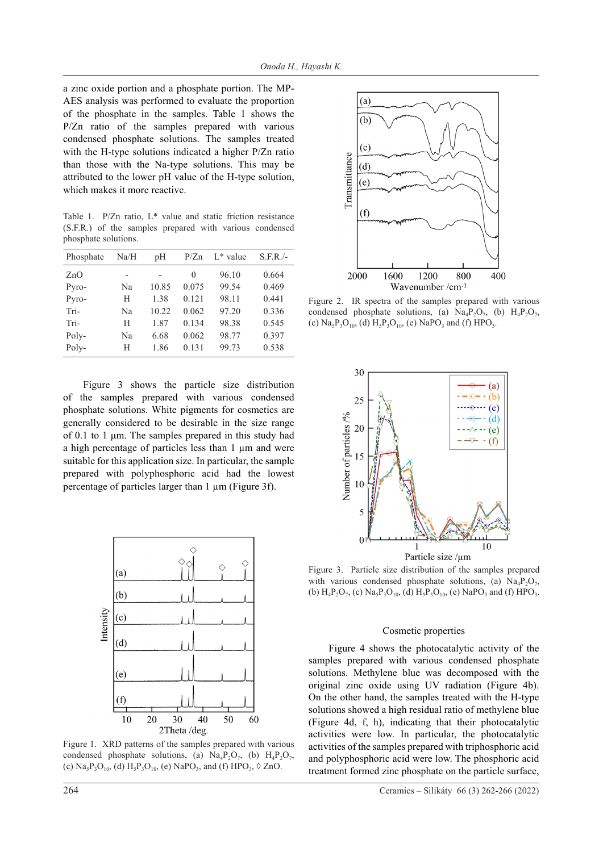a zinc oxide portion and a phosphate portion. The MP-AES analysis was performed to evaluate the proportion of the phosphate in the samples. Table 1 shows the P/Zn ratio of the samples prepared with various condensed phosphate solutions. The samples treated with the H-type solutions indicated a higher P/Zn ratio than those with the Na-type solutions. This may be attributed to the lower pH value of the H-type solution, which makes it more reactive.

Table 1. P/Zn ratio, L\* value and static friction resistance (S.F.R.) of the samples prepared with various condensed phosphate solutions.

| Phosphate | Na/H | pH    | P/Zn     | $L^*$ value | $S.F.R./-$ |
|-----------|------|-------|----------|-------------|------------|
| ZnO       |      |       | $\Omega$ | 96.10       | 0.664      |
| Pyro-     | Na   | 10.85 | 0.075    | 99.54       | 0.469      |
| Pyro-     | Н    | 1.38  | 0.121    | 98.11       | 0.441      |
| Tri-      | Na   | 10.22 | 0.062    | 97.20       | 0.336      |
| Tri-      | Н    | 1.87  | 0.134    | 98.38       | 0.545      |
| Poly-     | Na   | 6.68  | 0.062    | 98.77       | 0.397      |
| Poly-     | Н    | 1.86  | 0.131    | 99.73       | 0.538      |

Figure 3 shows the particle size distribution of the samples prepared with various condensed phosphate solutions. White pigments for cosmetics are generally considered to be desirable in the size range of 0.1 to 1 μm. The samples prepared in this study had a high percentage of particles less than 1 µm and were suitable for this application size. In particular, the sample prepared with polyphosphoric acid had the lowest percentage of particles larger than 1 µm (Figure 3f).



Figure 1. XRD patterns of the samples prepared with various condensed phosphate solutions, (a)  $Na_4P_2O_7$ , (b)  $H_4P_2O_7$ , (c)  $\text{Na}_5\text{P}_3\text{O}_{10}$ , (d)  $\text{H}_5\text{P}_3\text{O}_{10}$ , (e)  $\text{NaPO}_3$ , and (f)  $\text{HPO}_3$ ,  $\Diamond$  ZnO.



Figure 2. IR spectra of the samples prepared with various condensed phosphate solutions, (a)  $\text{Na}_4\text{P}_2\text{O}_7$ , (b)  $\text{H}_4\text{P}_2\text{O}_7$ , (c)  $\text{Na}_5\text{P}_3\text{O}_{10}$ , (d)  $\text{H}_5\text{P}_3\text{O}_{10}$ , (e)  $\text{NaPO}_3$  and (f)  $\text{HPO}_3$ .



Figure 3. Particle size distribution of the samples prepared with various condensed phosphate solutions, (a)  $\text{Na}_4\text{P}_2\text{O}_7$ , (b)  $H_4P_2O_7$ , (c)  $Na_5P_3O_{10}$ , (d)  $H_5P_3O_{10}$ , (e) NaPO<sub>3</sub> and (f) HPO<sub>3</sub>.

#### Cosmetic properties

Figure 4 shows the photocatalytic activity of the samples prepared with various condensed phosphate solutions. Methylene blue was decomposed with the original zinc oxide using UV radiation (Figure 4b). On the other hand, the samples treated with the H-type solutions showed a high residual ratio of methylene blue (Figure 4d, f, h), indicating that their photocatalytic activities were low. In particular, the photocatalytic activities of the samples prepared with triphosphoric acid and polyphosphoric acid were low. The phosphoric acid treatment formed zinc phosphate on the particle surface,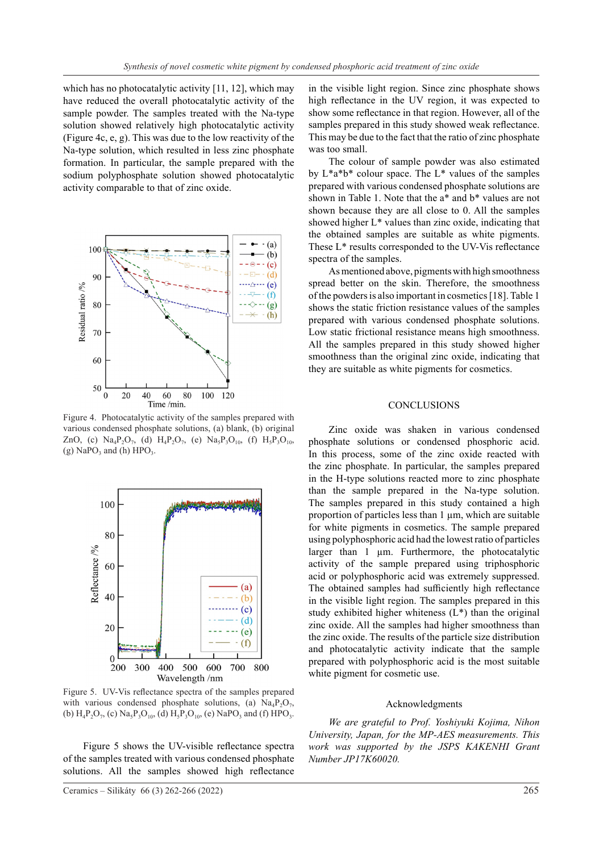which has no photocatalytic activity [11, 12], which may have reduced the overall photocatalytic activity of the sample powder. The samples treated with the Na-type solution showed relatively high photocatalytic activity (Figure 4c, e, g). This was due to the low reactivity of the Na-type solution, which resulted in less zinc phosphate formation. In particular, the sample prepared with the sodium polyphosphate solution showed photocatalytic activity comparable to that of zinc oxide.



Figure 4. Photocatalytic activity of the samples prepared with various condensed phosphate solutions, (a) blank, (b) original ZnO, (c) Na<sub>4</sub>P<sub>2</sub>O<sub>7</sub>, (d) H<sub>4</sub>P<sub>2</sub>O<sub>7</sub>, (e) Na<sub>5</sub>P<sub>3</sub>O<sub>10</sub>, (f) H<sub>5</sub>P<sub>3</sub>O<sub>10</sub>, (g) NaPO<sub>3</sub> and (h)  $HPO<sub>3</sub>$ .



Figure 5. UV-Vis reflectance spectra of the samples prepared with various condensed phosphate solutions, (a)  $\text{Na}_4\text{P}_2\text{O}_7$ , (b)  $H_4P_2O_7$ , (c)  $Na_5P_3O_{10}$ , (d)  $H_5P_3O_{10}$ , (e)  $NaPO_3$  and (f)  $HPO_3$ .

Figure 5 shows the UV-visible reflectance spectra of the samples treated with various condensed phosphate solutions. All the samples showed high reflectance in the visible light region. Since zinc phosphate shows high reflectance in the UV region, it was expected to show some reflectance in that region. However, all of the samples prepared in this study showed weak reflectance. This may be due to the fact that the ratio of zinc phosphate was too small.

The colour of sample powder was also estimated by  $L^*a^*b^*$  colour space. The  $L^*$  values of the samples prepared with various condensed phosphate solutions are shown in Table 1. Note that the a\* and b\* values are not shown because they are all close to 0. All the samples showed higher L\* values than zinc oxide, indicating that the obtained samples are suitable as white pigments. These L\* results corresponded to the UV-Vis reflectance spectra of the samples.

As mentioned above, pigments with high smoothness spread better on the skin. Therefore, the smoothness of the powders is also important in cosmetics [18]. Table 1 shows the static friction resistance values of the samples prepared with various condensed phosphate solutions. Low static frictional resistance means high smoothness. All the samples prepared in this study showed higher smoothness than the original zinc oxide, indicating that they are suitable as white pigments for cosmetics.

## **CONCLUSIONS**

Zinc oxide was shaken in various condensed phosphate solutions or condensed phosphoric acid. In this process, some of the zinc oxide reacted with the zinc phosphate. In particular, the samples prepared in the H-type solutions reacted more to zinc phosphate than the sample prepared in the Na-type solution. The samples prepared in this study contained a high proportion of particles less than  $1 \mu m$ , which are suitable for white pigments in cosmetics. The sample prepared using polyphosphoric acid had the lowest ratio of particles larger than 1 µm. Furthermore, the photocatalytic activity of the sample prepared using triphosphoric acid or polyphosphoric acid was extremely suppressed. The obtained samples had sufficiently high reflectance in the visible light region. The samples prepared in this study exhibited higher whiteness  $(L^*)$  than the original zinc oxide. All the samples had higher smoothness than the zinc oxide. The results of the particle size distribution and photocatalytic activity indicate that the sample prepared with polyphosphoric acid is the most suitable white pigment for cosmetic use.

#### Acknowledgments

*We are grateful to Prof. Yoshiyuki Kojima, Nihon University, Japan, for the MP-AES measurements. This work was supported by the JSPS KAKENHI Grant Number JP17K60020.*